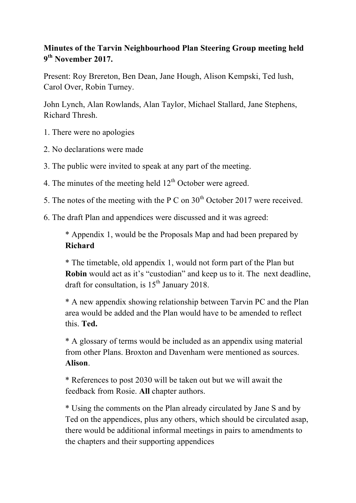## **Minutes of the Tarvin Neighbourhood Plan Steering Group meeting held 9th November 2017.**

Present: Roy Brereton, Ben Dean, Jane Hough, Alison Kempski, Ted lush, Carol Over, Robin Turney.

John Lynch, Alan Rowlands, Alan Taylor, Michael Stallard, Jane Stephens, Richard Thresh.

- 1. There were no apologies
- 2. No declarations were made
- 3. The public were invited to speak at any part of the meeting.
- 4. The minutes of the meeting held  $12<sup>th</sup>$  October were agreed.
- 5. The notes of the meeting with the P C on  $30<sup>th</sup>$  October 2017 were received.
- 6. The draft Plan and appendices were discussed and it was agreed:

\* Appendix 1, would be the Proposals Map and had been prepared by **Richard**

\* The timetable, old appendix 1, would not form part of the Plan but **Robin** would act as it's "custodian" and keep us to it. The next deadline, draft for consultation, is  $15<sup>th</sup>$  January 2018.

\* A new appendix showing relationship between Tarvin PC and the Plan area would be added and the Plan would have to be amended to reflect this. **Ted.**

\* A glossary of terms would be included as an appendix using material from other Plans. Broxton and Davenham were mentioned as sources. **Alison**.

\* References to post 2030 will be taken out but we will await the feedback from Rosie. **All** chapter authors.

\* Using the comments on the Plan already circulated by Jane S and by Ted on the appendices, plus any others, which should be circulated asap, there would be additional informal meetings in pairs to amendments to the chapters and their supporting appendices